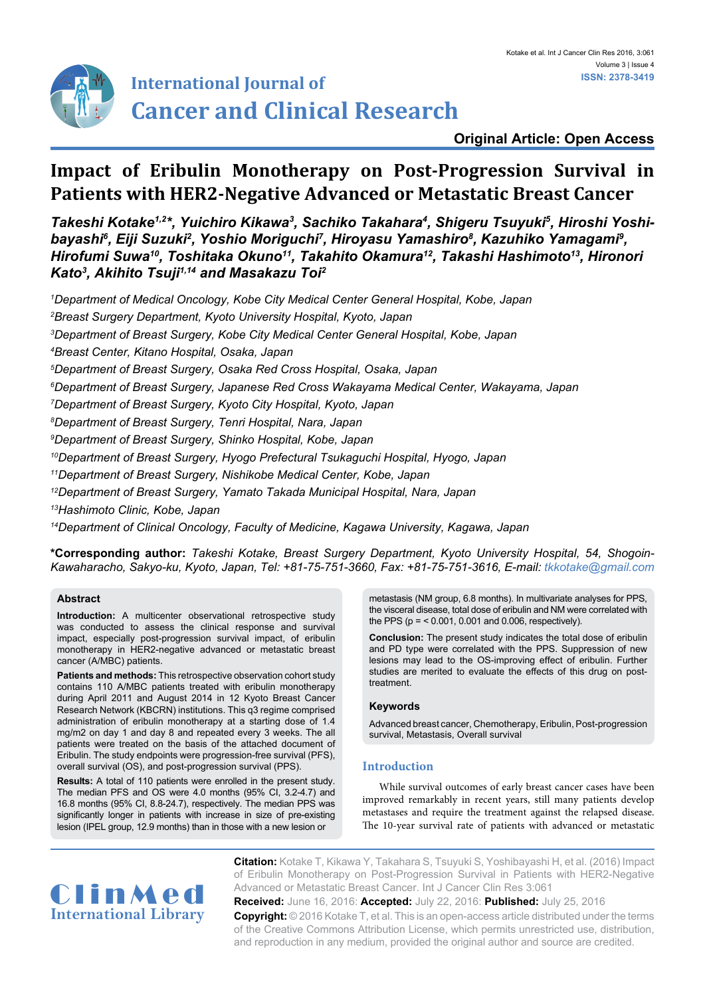

# **International Journal of Cancer and Clinical Research**

## **Original Article: Open Access**

# **Impact of Eribulin Monotherapy on Post-Progression Survival in Patients with HER2-Negative Advanced or Metastatic Breast Cancer**

*Takeshi Kotake1,2\*, Yuichiro Kikawa3 , Sachiko Takahara4 , Shigeru Tsuyuki5 , Hiroshi Yoshi*bayashi<sup>6</sup>, Eiji Suzuki<sup>2</sup>, Yoshio Moriguchi<sup>7</sup>, Hiroyasu Yamashiro<sup>8</sup>, Kazuhiko Yamagami<sup>9</sup>, *Hirofumi Suwa10, Toshitaka Okuno11, Takahito Okamura12, Takashi Hashimoto13, Hironori Kato3 , Akihito Tsuji1,14 and Masakazu Toi2*

 *Department of Medical Oncology, Kobe City Medical Center General Hospital, Kobe, Japan Breast Surgery Department, Kyoto University Hospital, Kyoto, Japan Department of Breast Surgery, Kobe City Medical Center General Hospital, Kobe, Japan Breast Center, Kitano Hospital, Osaka, Japan Department of Breast Surgery, Osaka Red Cross Hospital, Osaka, Japan Department of Breast Surgery, Japanese Red Cross Wakayama Medical Center, Wakayama, Japan Department of Breast Surgery, Kyoto City Hospital, Kyoto, Japan Department of Breast Surgery, Tenri Hospital, Nara, Japan Department of Breast Surgery, Shinko Hospital, Kobe, Japan 10Department of Breast Surgery, Hyogo Prefectural Tsukaguchi Hospital, Hyogo, Japan 11Department of Breast Surgery, Nishikobe Medical Center, Kobe, Japan 12Department of Breast Surgery, Yamato Takada Municipal Hospital, Nara, Japan 13Hashimoto Clinic, Kobe, Japan*

*14Department of Clinical Oncology, Faculty of Medicine, Kagawa University, Kagawa, Japan*

**\*Corresponding author:** *Takeshi Kotake, Breast Surgery Department, Kyoto University Hospital, 54, Shogoin-Kawaharacho, Sakyo-ku, Kyoto, Japan, Tel: +81-75-751-3660, Fax: +81-75-751-3616, E-mail: tkkotake@gmail.com*

#### **Abstract**

**Introduction:** A multicenter observational retrospective study was conducted to assess the clinical response and survival impact, especially post-progression survival impact, of eribulin monotherapy in HER2-negative advanced or metastatic breast cancer (A/MBC) patients.

**Patients and methods:** This retrospective observation cohort study contains 110 A/MBC patients treated with eribulin monotherapy during April 2011 and August 2014 in 12 Kyoto Breast Cancer Research Network (KBCRN) institutions. This q3 regime comprised administration of eribulin monotherapy at a starting dose of 1.4 mg/m2 on day 1 and day 8 and repeated every 3 weeks. The all patients were treated on the basis of the attached document of Eribulin. The study endpoints were progression-free survival (PFS), overall survival (OS), and post-progression survival (PPS).

**Results:** A total of 110 patients were enrolled in the present study. The median PFS and OS were 4.0 months (95% CI, 3.2-4.7) and 16.8 months (95% CI, 8.8-24.7), respectively. The median PPS was significantly longer in patients with increase in size of pre-existing lesion (IPEL group, 12.9 months) than in those with a new lesion or

metastasis (NM group, 6.8 months). In multivariate analyses for PPS, the visceral disease, total dose of eribulin and NM were correlated with the PPS (p = < 0.001, 0.001 and 0.006, respectively).

**Conclusion:** The present study indicates the total dose of eribulin and PD type were correlated with the PPS. Suppression of new lesions may lead to the OS-improving effect of eribulin. Further studies are merited to evaluate the effects of this drug on posttreatment.

#### **Keywords**

Advanced breast cancer, Chemotherapy, Eribulin, Post-progression survival, Metastasis, Overall survival

### **Introduction**

While survival outcomes of early breast cancer cases have been improved remarkably in recent years, still many patients develop metastases and require the treatment against the relapsed disease. The 10-year survival rate of patients with advanced or metastatic



**Citation:** Kotake T, Kikawa Y, Takahara S, Tsuyuki S, Yoshibayashi H, et al. (2016) Impact of Eribulin Monotherapy on Post-Progression Survival in Patients with HER2-Negative Advanced or Metastatic Breast Cancer. Int J Cancer Clin Res 3:061

**Received:** June 16, 2016: **Accepted:** July 22, 2016: **Published:** July 25, 2016 **Copyright:** © 2016 Kotake T, et al. This is an open-access article distributed under the terms of the Creative Commons Attribution License, which permits unrestricted use, distribution, and reproduction in any medium, provided the original author and source are credited.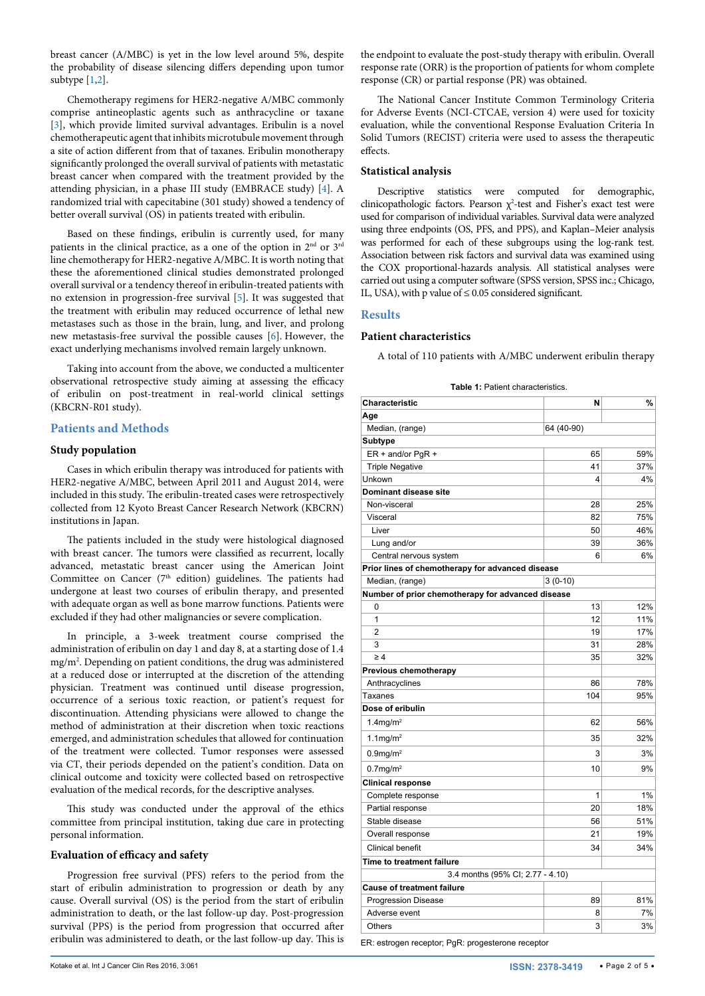breast cancer (A/MBC) is yet in the low level around 5%, despite the probability of disease silencing differs depending upon tumor subtype [[1](#page-3-0)[,2](#page-3-1)].

Chemotherapy regimens for HER2-negative A/MBC commonly comprise antineoplastic agents such as anthracycline or taxane [[3\]](#page-3-2), which provide limited survival advantages. Eribulin is a novel chemotherapeutic agent that inhibits microtubule movement through a site of action different from that of taxanes. Eribulin monotherapy significantly prolonged the overall survival of patients with metastatic breast cancer when compared with the treatment provided by the attending physician, in a phase III study (EMBRACE study) [[4](#page-3-3)]. A randomized trial with capecitabine (301 study) showed a tendency of better overall survival (OS) in patients treated with eribulin.

Based on these findings, eribulin is currently used, for many patients in the clinical practice, as a one of the option in 2<sup>nd</sup> or 3<sup>rd</sup> line chemotherapy for HER2-negative A/MBC. It is worth noting that these the aforementioned clinical studies demonstrated prolonged overall survival or a tendency thereof in eribulin-treated patients with no extension in progression-free survival [\[5\]](#page-3-4). It was suggested that the treatment with eribulin may reduced occurrence of lethal new metastases such as those in the brain, lung, and liver, and prolong new metastasis-free survival the possible causes [[6](#page-3-5)]. However, the exact underlying mechanisms involved remain largely unknown.

Taking into account from the above, we conducted a multicenter observational retrospective study aiming at assessing the efficacy of eribulin on post-treatment in real-world clinical settings (KBCRN-R01 study).

#### **Patients and Methods**

#### **Study population**

Cases in which eribulin therapy was introduced for patients with HER2-negative A/MBC, between April 2011 and August 2014, were included in this study. The eribulin-treated cases were retrospectively collected from 12 Kyoto Breast Cancer Research Network (KBCRN) institutions in Japan.

The patients included in the study were histological diagnosed with breast cancer. The tumors were classified as recurrent, locally advanced, metastatic breast cancer using the American Joint Committee on Cancer (7<sup>th</sup> edition) guidelines. The patients had undergone at least two courses of eribulin therapy, and presented with adequate organ as well as bone marrow functions. Patients were excluded if they had other malignancies or severe complication.

In principle, a 3-week treatment course comprised the administration of eribulin on day 1 and day 8, at a starting dose of 1.4 mg/m2 . Depending on patient conditions, the drug was administered at a reduced dose or interrupted at the discretion of the attending physician. Treatment was continued until disease progression, occurrence of a serious toxic reaction, or patient's request for discontinuation. Attending physicians were allowed to change the method of administration at their discretion when toxic reactions emerged, and administration schedules that allowed for continuation of the treatment were collected. Tumor responses were assessed via CT, their periods depended on the patient's condition. Data on clinical outcome and toxicity were collected based on retrospective evaluation of the medical records, for the descriptive analyses.

This study was conducted under the approval of the ethics committee from principal institution, taking due care in protecting personal information.

#### **Evaluation of efficacy and safety**

Progression free survival (PFS) refers to the period from the start of eribulin administration to progression or death by any cause. Overall survival (OS) is the period from the start of eribulin administration to death, or the last follow-up day. Post-progression survival (PPS) is the period from progression that occurred after eribulin was administered to death, or the last follow-up day. This is the endpoint to evaluate the post-study therapy with eribulin. Overall response rate (ORR) is the proportion of patients for whom complete response (CR) or partial response (PR) was obtained.

The National Cancer Institute Common Terminology Criteria for Adverse Events (NCI-CTCAE, version 4) were used for toxicity evaluation, while the conventional Response Evaluation Criteria In Solid Tumors (RECIST) criteria were used to assess the therapeutic effects.

#### **Statistical analysis**

Descriptive statistics were computed for demographic, clinicopathologic factors. Pearson  $\chi^2$ -test and Fisher's exact test were used for comparison of individual variables. Survival data were analyzed using three endpoints (OS, PFS, and PPS), and Kaplan–Meier analysis was performed for each of these subgroups using the log-rank test. Association between risk factors and survival data was examined using the COX proportional-hazards analysis. All statistical analyses were carried out using a computer software (SPSS version, SPSS inc.; Chicago, IL, USA), with p value of ≤ 0.05 considered significant.

#### **Results**

#### **Patient characteristics**

A total of 110 patients with A/MBC underwent eribulin therapy

<span id="page-1-0"></span>

|--|

| Characteristic                                    | N                                | %   |
|---------------------------------------------------|----------------------------------|-----|
| Age                                               |                                  |     |
| Median, (range)                                   | 64 (40-90)                       |     |
| Subtype                                           |                                  |     |
| $ER + and/or PgR +$                               | 65                               | 59% |
| <b>Triple Negative</b>                            | 41                               | 37% |
| Unkown                                            | $\overline{4}$                   | 4%  |
| Dominant disease site                             |                                  |     |
| Non-visceral                                      | 28                               | 25% |
| Visceral                                          | 82                               | 75% |
| Liver                                             | 50                               | 46% |
| Lung and/or                                       | 39                               | 36% |
| Central nervous system                            | 6                                | 6%  |
| Prior lines of chemotherapy for advanced disease  |                                  |     |
| Median, (range)                                   | $3(0-10)$                        |     |
| Number of prior chemotherapy for advanced disease |                                  |     |
| 0                                                 | 13                               | 12% |
| 1                                                 | 12                               | 11% |
| $\overline{2}$                                    | 19                               | 17% |
| 3                                                 | 31                               | 28% |
| $\geq 4$                                          | 35                               | 32% |
| Previous chemotherapy                             |                                  |     |
| Anthracyclines                                    | 86                               | 78% |
| Taxanes                                           | 104                              | 95% |
| Dose of eribulin                                  |                                  |     |
| $1.4$ mg/m <sup>2</sup>                           | 62                               | 56% |
| $1.1$ mg/m <sup>2</sup>                           | 35                               | 32% |
| $0.9$ mg/m $2$                                    | 3                                | 3%  |
| $0.7$ mg/m <sup>2</sup>                           | 10                               | 9%  |
| <b>Clinical response</b>                          |                                  |     |
| Complete response                                 | 1                                | 1%  |
| Partial response                                  | 20                               | 18% |
| Stable disease                                    | 56                               | 51% |
| Overall response                                  | 21                               | 19% |
| <b>Clinical benefit</b>                           | 34                               | 34% |
| Time to treatment failure                         |                                  |     |
|                                                   | 3.4 months (95% CI; 2.77 - 4.10) |     |
| <b>Cause of treatment failure</b>                 |                                  |     |
| <b>Progression Disease</b>                        | 89                               | 81% |
| Adverse event                                     | 8                                | 7%  |
| Others                                            | 3                                | 3%  |

ER: estrogen receptor; PgR: progesterone receptor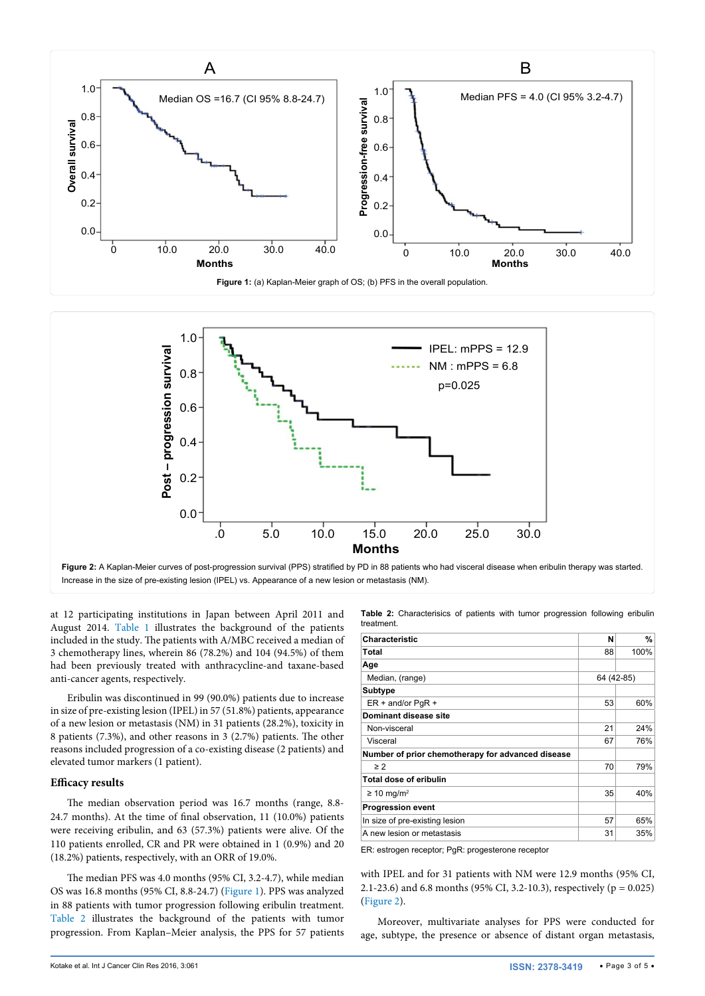<span id="page-2-0"></span>

<span id="page-2-2"></span>

Increase in the size of pre-existing lesion (IPEL) vs. Appearance of a new lesion or metastasis (NM).

at 12 participating institutions in Japan between April 2011 and August 2014. [Table 1](#page-1-0) illustrates the background of the patients included in the study. The patients with A/MBC received a median of 3 chemotherapy lines, wherein 86 (78.2%) and 104 (94.5%) of them had been previously treated with anthracycline-and taxane-based anti-cancer agents, respectively.

Eribulin was discontinued in 99 (90.0%) patients due to increase in size of pre-existing lesion (IPEL) in 57 (51.8%) patients, appearance of a new lesion or metastasis (NM) in 31 patients (28.2%), toxicity in 8 patients (7.3%), and other reasons in 3 (2.7%) patients. The other reasons included progression of a co-existing disease (2 patients) and elevated tumor markers (1 patient).

#### **Efficacy results**

The median observation period was 16.7 months (range, 8.8- 24.7 months). At the time of final observation, 11 (10.0%) patients were receiving eribulin, and 63 (57.3%) patients were alive. Of the 110 patients enrolled, CR and PR were obtained in 1 (0.9%) and 20 (18.2%) patients, respectively, with an ORR of 19.0%.

The median PFS was 4.0 months (95% CI, 3.2-4.7), while median OS was 16.8 months (95% CI, 8.8-24.7) ([Figure 1](#page-2-0)). PPS was analyzed in 88 patients with tumor progression following eribulin treatment. [Table 2](#page-2-1) illustrates the background of the patients with tumor progression. From Kaplan–Meier analysis, the PPS for 57 patients <span id="page-2-1"></span>**Table 2:** Characterisics of patients with tumor progression following eribulin treatment.

| Characteristic                                    | N          | %    |
|---------------------------------------------------|------------|------|
| Total                                             | 88         | 100% |
| Age                                               |            |      |
| Median, (range)                                   | 64 (42-85) |      |
| <b>Subtype</b>                                    |            |      |
| $ER + and/or PqR +$                               | 53         | 60%  |
| Dominant disease site                             |            |      |
| Non-visceral                                      | 21         | 24%  |
| Visceral                                          | 67         | 76%  |
| Number of prior chemotherapy for advanced disease |            |      |
| $\geq$ 2                                          | 70         | 79%  |
| Total dose of eribulin                            |            |      |
| $\geq$ 10 mg/m <sup>2</sup>                       | 35         | 40%  |
| <b>Progression event</b>                          |            |      |
| In size of pre-existing lesion                    | 57         | 65%  |
| A new lesion or metastasis                        | 31         | 35%  |

ER: estrogen receptor; PgR: progesterone receptor

with IPEL and for 31 patients with NM were 12.9 months (95% CI, 2.1-23.6) and 6.8 months (95% CI, 3.2-10.3), respectively (p = 0.025) ([Figure 2\)](#page-2-2).

Moreover, multivariate analyses for PPS were conducted for age, subtype, the presence or absence of distant organ metastasis,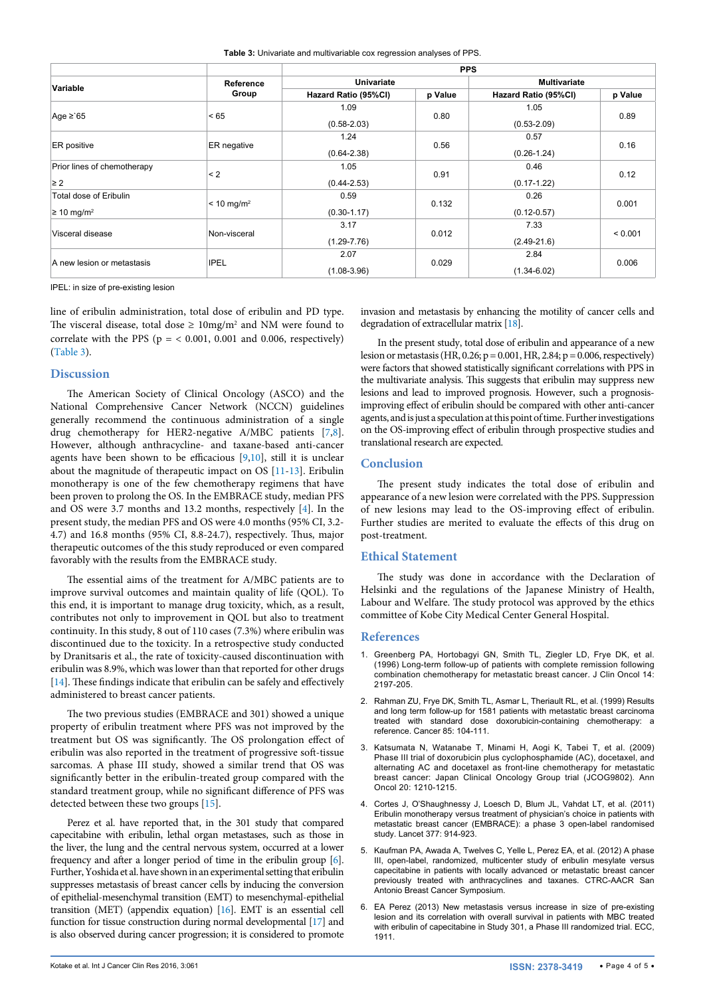<span id="page-3-6"></span>

| Table 3: Univariate and multivariable cox regression analyses of PPS. |  |  |
|-----------------------------------------------------------------------|--|--|
|-----------------------------------------------------------------------|--|--|

|                                  |                       | <b>PPS</b>           |         |                      |         |
|----------------------------------|-----------------------|----------------------|---------|----------------------|---------|
| Variable                         | Reference             | Univariate           |         | <b>Multivariate</b>  |         |
|                                  | Group                 | Hazard Ratio (95%CI) | p Value | Hazard Ratio (95%CI) | p Value |
| Age $\geq$ 65                    | < 65                  | 1.09                 | 0.80    | 1.05                 | 0.89    |
|                                  |                       | $(0.58 - 2.03)$      |         | $(0.53 - 2.09)$      |         |
|                                  |                       | 1.24                 |         | 0.57                 | 0.16    |
| <b>ER</b> positive               | ER negative           | $(0.64 - 2.38)$      | 0.56    | $(0.26 - 1.24)$      |         |
| Prior lines of chemotherapy      |                       | 1.05                 |         | 0.46                 |         |
| $\geq 2$                         | $\leq$ 2              | $(0.44 - 2.53)$      | 0.91    | $(0.17 - 1.22)$      | 0.12    |
| Total dose of Eribulin           | $< 10 \text{ mg/m}^2$ | 0.59                 |         | 0.26                 |         |
| $\geq 10$ mg/m <sup>2</sup>      |                       | $(0.30 - 1.17)$      | 0.132   | $(0.12 - 0.57)$      | 0.001   |
| Visceral disease<br>Non-visceral | 3.17                  |                      | 7.33    |                      |         |
|                                  |                       | $(1.29 - 7.76)$      | 0.012   | $(2.49 - 21.6)$      | < 0.001 |
| A new lesion or metastasis       |                       | 2.07                 |         | 2.84                 | 0.006   |
|                                  | <b>IPEL</b>           | $(1.08 - 3.96)$      | 0.029   | $(1.34 - 6.02)$      |         |

IPEL: in size of pre-existing lesion

line of eribulin administration, total dose of eribulin and PD type. The visceral disease, total dose  $\geq 10$ mg/m<sup>2</sup> and NM were found to correlate with the PPS ( $p = < 0.001$ , 0.001 and 0.006, respectively) ([Table 3](#page-3-6)).

#### **Discussion**

The American Society of Clinical Oncology (ASCO) and the National Comprehensive Cancer Network (NCCN) guidelines generally recommend the continuous administration of a single drug chemotherapy for HER2-negative A/MBC patients [[7](#page-4-0)[,8](#page-4-1)]. However, although anthracycline- and taxane-based anti-cancer agents have been shown to be efficacious [\[9](#page-4-2)[,10](#page-4-3)], still it is unclear about the magnitude of therapeutic impact on OS [\[11](#page-4-4)[-13\]](#page-4-5). Eribulin monotherapy is one of the few chemotherapy regimens that have been proven to prolong the OS. In the EMBRACE study, median PFS and OS were 3.7 months and 13.2 months, respectively [\[4\]](#page-3-3). In the present study, the median PFS and OS were 4.0 months (95% CI, 3.2- 4.7) and 16.8 months (95% CI, 8.8-24.7), respectively. Thus, major therapeutic outcomes of the this study reproduced or even compared favorably with the results from the EMBRACE study.

The essential aims of the treatment for A/MBC patients are to improve survival outcomes and maintain quality of life (QOL). To this end, it is important to manage drug toxicity, which, as a result, contributes not only to improvement in QOL but also to treatment continuity. In this study, 8 out of 110 cases (7.3%) where eribulin was discontinued due to the toxicity. In a retrospective study conducted by Dranitsaris et al., the rate of toxicity-caused discontinuation with eribulin was 8.9%, which was lower than that reported for other drugs [[14](#page-4-6)]. These findings indicate that eribulin can be safely and effectively administered to breast cancer patients.

The two previous studies (EMBRACE and 301) showed a unique property of eribulin treatment where PFS was not improved by the treatment but OS was significantly. The OS prolongation effect of eribulin was also reported in the treatment of progressive soft-tissue sarcomas. A phase III study, showed a similar trend that OS was significantly better in the eribulin-treated group compared with the standard treatment group, while no significant difference of PFS was detected between these two groups [[15\]](#page-4-7).

Perez et al. have reported that, in the 301 study that compared capecitabine with eribulin, lethal organ metastases, such as those in the liver, the lung and the central nervous system, occurred at a lower frequency and after a longer period of time in the eribulin group [\[6\]](#page-3-5). Further, Yoshida et al. have shown in an experimental setting that eribulin suppresses metastasis of breast cancer cells by inducing the conversion of epithelial-mesenchymal transition (EMT) to mesenchymal-epithelial transition (MET) (appendix equation) [\[16\]](#page-4-8). EMT is an essential cell function for tissue construction during normal developmental [[17](#page-4-9)] and is also observed during cancer progression; it is considered to promote

invasion and metastasis by enhancing the motility of cancer cells and degradation of extracellular matrix [[18](#page-4-10)].

In the present study, total dose of eribulin and appearance of a new lesion or metastasis (HR, 0.26;  $p = 0.001$ , HR, 2.84;  $p = 0.006$ , respectively) were factors that showed statistically significant correlations with PPS in the multivariate analysis. This suggests that eribulin may suppress new lesions and lead to improved prognosis. However, such a prognosisimproving effect of eribulin should be compared with other anti-cancer agents, and is just a speculation at this point of time. Further investigations on the OS-improving effect of eribulin through prospective studies and translational research are expected.

#### **Conclusion**

The present study indicates the total dose of eribulin and appearance of a new lesion were correlated with the PPS. Suppression of new lesions may lead to the OS-improving effect of eribulin. Further studies are merited to evaluate the effects of this drug on post-treatment.

#### **Ethical Statement**

The study was done in accordance with the Declaration of Helsinki and the regulations of the Japanese Ministry of Health, Labour and Welfare. The study protocol was approved by the ethics committee of Kobe City Medical Center General Hospital.

#### **References**

- <span id="page-3-0"></span>1. [Greenberg PA, Hortobagyi GN, Smith TL, Ziegler LD, Frye DK, et al.](http://www.ncbi.nlm.nih.gov/pubmed/8708708)  [\(1996\) Long-term follow-up of patients with complete remission following](http://www.ncbi.nlm.nih.gov/pubmed/8708708)  [combination chemotherapy for metastatic breast cancer. J Clin Oncol 14:](http://www.ncbi.nlm.nih.gov/pubmed/8708708)  [2197-205.](http://www.ncbi.nlm.nih.gov/pubmed/8708708)
- <span id="page-3-1"></span>2. [Rahman ZU, Frye DK, Smith TL, Asmar L, Theriault RL, et al. \(1999\) Results](http://www.ncbi.nlm.nih.gov/pubmed/9921981)  [and long term follow-up for 1581 patients with metastatic breast carcinoma](http://www.ncbi.nlm.nih.gov/pubmed/9921981)  [treated with standard dose doxorubicin-containing chemotherapy: a](http://www.ncbi.nlm.nih.gov/pubmed/9921981)  [reference. Cancer 85: 104-111.](http://www.ncbi.nlm.nih.gov/pubmed/9921981)
- <span id="page-3-2"></span>3. [Katsumata N, Watanabe T, Minami H, Aogi K, Tabei T, et al. \(2009\)](http://www.ncbi.nlm.nih.gov/pubmed/19254942)  [Phase III trial of doxorubicin plus cyclophosphamide \(AC\), docetaxel, and](http://www.ncbi.nlm.nih.gov/pubmed/19254942)  [alternating AC and docetaxel as front-line chemotherapy for metastatic](http://www.ncbi.nlm.nih.gov/pubmed/19254942)  [breast cancer: Japan Clinical Oncology Group trial \(JCOG9802\). Ann](http://www.ncbi.nlm.nih.gov/pubmed/19254942)  [Oncol 20: 1210-1215.](http://www.ncbi.nlm.nih.gov/pubmed/19254942)
- <span id="page-3-3"></span>4. [Cortes J, O'Shaughnessy J, Loesch D, Blum JL, Vahdat LT, et al. \(2011\)](http://www.ncbi.nlm.nih.gov/pubmed/21376385)  [Eribulin monotherapy versus treatment of physician's choice in patients with](http://www.ncbi.nlm.nih.gov/pubmed/21376385)  [metastatic breast cancer \(EMBRACE\): a phase 3 open-label randomised](http://www.ncbi.nlm.nih.gov/pubmed/21376385)  [study. Lancet 377: 914-923.](http://www.ncbi.nlm.nih.gov/pubmed/21376385)
- <span id="page-3-4"></span>5. [Kaufman PA, Awada A, Twelves C, Yelle L, Perez EA, et al. \(2012\) A phase](http://www.iqanda-cme.com/assets/pdf/301Trial.pdf)  [III, open-label, randomized, multicenter study of eribulin mesylate versus](http://www.iqanda-cme.com/assets/pdf/301Trial.pdf)  [capecitabine in patients with locally advanced or metastatic breast cancer](http://www.iqanda-cme.com/assets/pdf/301Trial.pdf)  [previously treated with anthracyclines and taxanes. CTRC-AACR San](http://www.iqanda-cme.com/assets/pdf/301Trial.pdf)  [Antonio Breast Cancer Symposium.](http://www.iqanda-cme.com/assets/pdf/301Trial.pdf)
- <span id="page-3-5"></span>6. EA Perez (2013) New metastasis versus increase in size of pre-existing lesion and its correlation with overall survival in patients with MBC treated with eribulin of capecitabine in Study 301, a Phase III randomized trial. ECC, 1911.